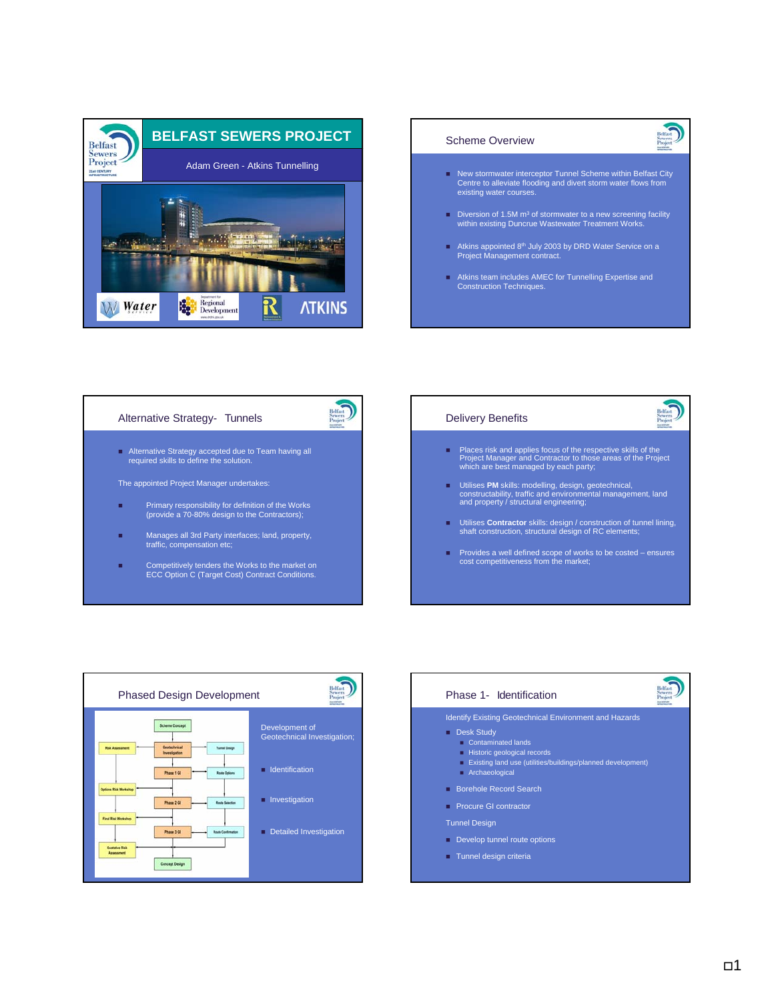



# Alternative Strategy- Tunnels



Alternative Strategy accepted due to Team having all required skills to define the solution.

The appointed Project Manager undertakes:

- Primary responsibility for definition of the Works (provide a 70-80% design to the Contractors);
- **Manages all 3rd Party interfaces; land, property,** traffic, compensation etc;
- Competitively tenders the Works to the market on ECC Option C (Target Cost) Contract Conditions.

# Delivery Benefits

- Places risk and applies focus of the respective skills of the Project Manager and Contractor to those areas of the Project which are best managed by each party;
- Utilises **PM** skills: modelling, design, geotechnical,<br>constructability, traffic and environmental management, land<br>and property / structural engineering;
- Utilises **Contractor** skills: design / construction of tunnel lining, shaft construction, structural design of RC elements;
- Provides a well defined scope of works to be costed ensures cost competitiveness from the market;



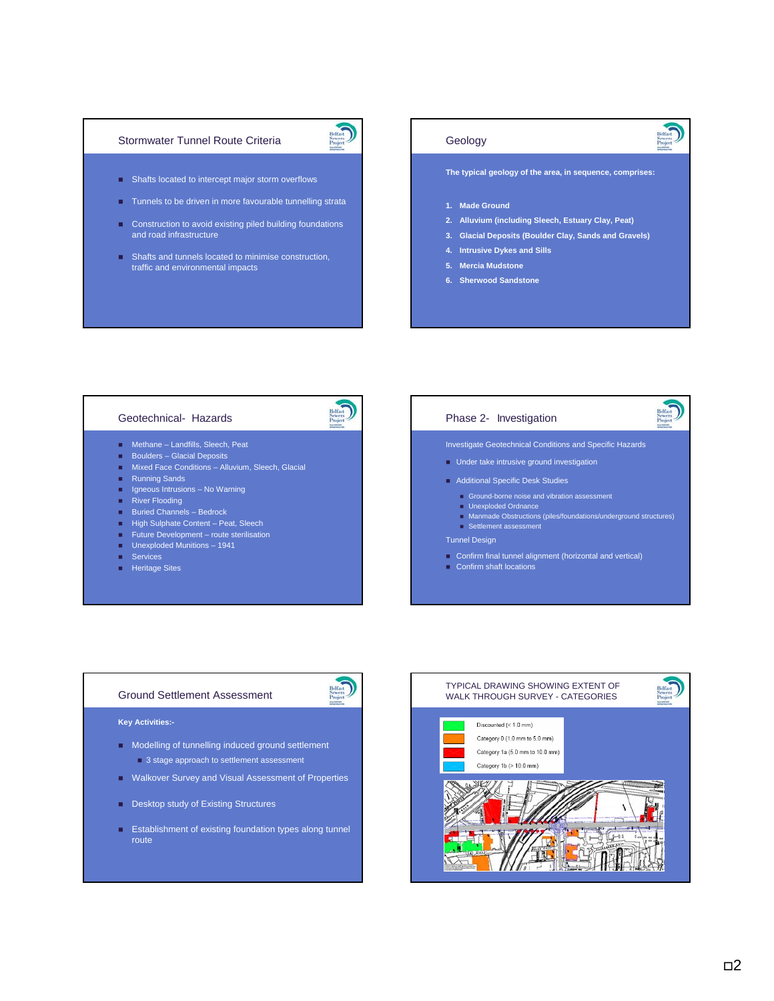### Stormwater Tunnel Route Criteria



- **Shafts located to intercept major storm overflows**
- **Tunnels to be driven in more favourable tunnelling strata**
- **Construction to avoid existing piled building foundations** and road infrastructure
- **Shafts and tunnels located to minimise construction,** traffic and environmental impacts

## Geology

**The typical geology of the area, in sequence, comprises:**

- **1. Made Ground**
- **2. Alluvium (including Sleech, Estuary Clay, Peat)**
- **3. Glacial Deposits (Boulder Clay, Sands and Gravels)**
- **4. Intrusive Dykes and Sills**
- **5. Mercia Mudstone**
- **6. Sherwood Sandstone**

## Geotechnical- Hazards

- Methane Landfills, Sleech, Peat
- **Boulders Glacial Deposits**
- **Mixed Face Conditions Alluvium, Sleech, Glacial**
- **Running Sands**
- **If** Igneous Intrusions No Warning
- River Flooding
- Buried Channels Bedrock
- High Sulphate Content Peat, Sleech
- **Future Development** route sterilisation
- **Unexploded Munitions 1941**
- **Services**
- **Heritage Sites**

# Phase 2- Investigation

## Investigate Geotechnical Conditions and Specific Hazards

- **Under take intrusive ground investigation**
- Additional Specific Desk Studies
- Ground-borne noise and vibration assessment
	- **Unexploded Ordnance**
- Manmade Obstructions (piles/foundations/underground structures)
- Settlement assessment

Confirm shaft locations

### Tunnel Design

Confirm final tunnel alignment (horizontal and vertical)

Ground Settlement Assessment



### **Key Activities:-**

- **Modelling of tunnelling induced ground settlement 3** stage approach to settlement assessment
- **Walkover Survey and Visual Assessment of Properties**
- Desktop study of Existing Structures
- **Establishment of existing foundation types along tunnel** route

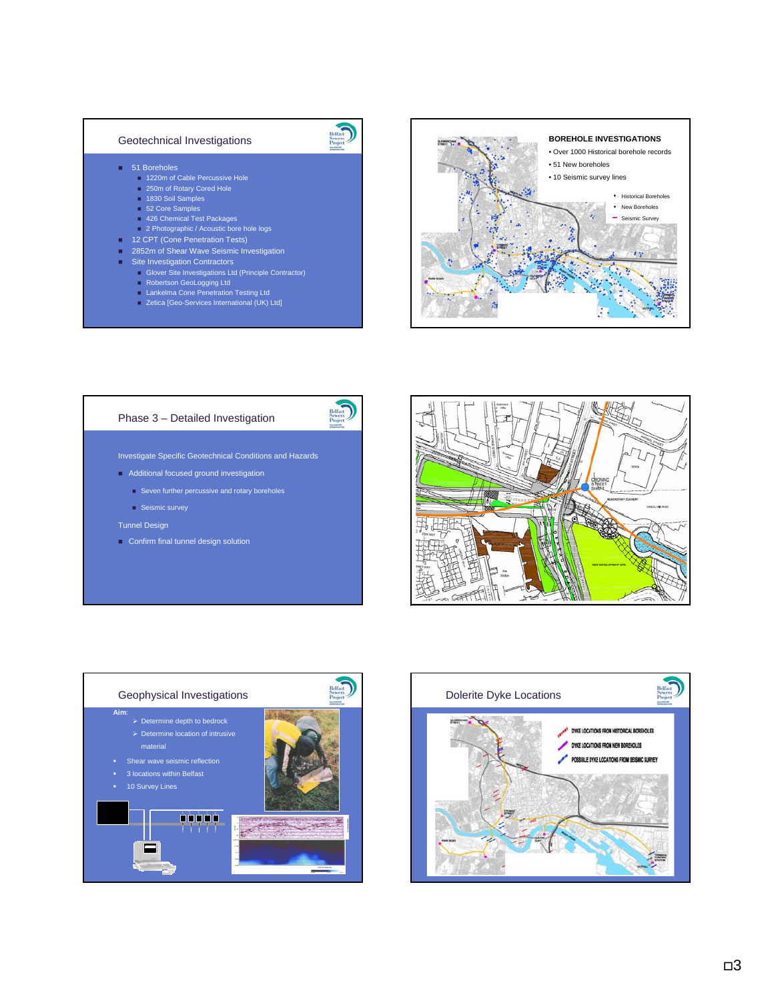## Geotechnical Investigations

- 51 Boreholes
	- 1220m of Cable Percussive Hole 250m of Rotary Cored Hole
	-
	- 1830 Soil Samples
	- 52 Core Samples 426 Chemical Test Packages
	- **2 Photographic / Acoustic bore hole logs**
- 12 CPT (Cone Penetration Tests)
- **2852m of Shear Wave Seismic Investigation**
- **Site Investigation Contractors** 
	-
	- Glover Site Investigations Ltd (Principle Contractor)<br>■ Robertson GeoLogging Ltd
	-
	- Lankelma Cone Penetration Testing Ltd Zetica [Geo-Services International (UK) Ltd]



# Phase 3 – Detailed Investigation



Belfast<br>Sewers

Investigate Specific Geotechnical Conditions and Hazards

- **Additional focused ground investigation** 
	- Seven further percussive and rotary boreholes
	- Seismic survey

### Tunnel Design

Confirm final tunnel design solution





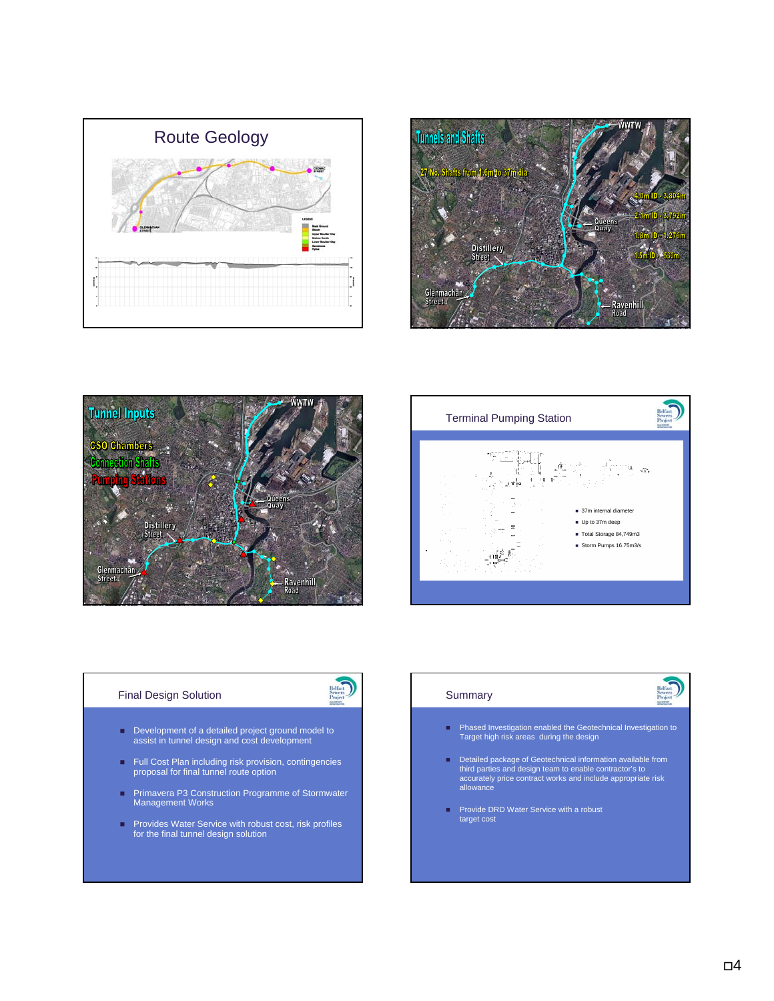







# Final Design Solution



- Development of a detailed project ground model to assist in tunnel design and cost development
- Full Cost Plan including risk provision, contingencies proposal for final tunnel route option
- Primavera P3 Construction Programme of Stormwater Management Works
- Provides Water Service with robust cost, risk profiles for the final tunnel design solution

### **Summary**

- Phased Investigation enabled the Geotechnical Investigation to Target high risk areas during the design
- Detailed package of Geotechnical information available from third parties and design team to enable contractor's to accurately price contract works and include appropriate risk allowance
- Provide DRD Water Service with a robust target cost